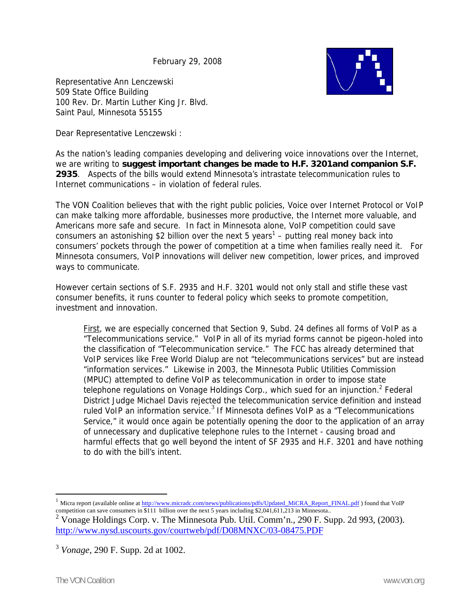February 29, 2008



Representative Ann Lenczewski 509 State Office Building 100 Rev. Dr. Martin Luther King Jr. Blvd. Saint Paul, Minnesota 55155

Dear Representative Lenczewski :

As the nation's leading companies developing and delivering voice innovations over the Internet, we are writing to **suggest important changes be made to H.F. 3201and companion S.F. 2935**. Aspects of the bills would extend Minnesota's intrastate telecommunication rules to Internet communications – in violation of federal rules.

The VON Coalition believes that with the right public policies, Voice over Internet Protocol or VoIP can make talking more affordable, businesses more productive, the Internet more valuable, and Americans more safe and secure. In fact in Minnesota alone, VoIP competition could save consumers an astonishing \$2 billion over the next 5 years<sup>1</sup> – putting real money back into consumers' pockets through the power of competition at a time when families really need it. For Minnesota consumers, VoIP innovations will deliver new competition, lower prices, and improved ways to communicate.

However certain sections of S.F. 2935 and H.F. 3201 would not only stall and stifle these vast consumer benefits, it runs counter to federal policy which seeks to promote competition, investment and innovation.

First, we are especially concerned that Section 9, Subd. 24 defines all forms of VoIP as a "Telecommunications service." VoIP in all of its myriad forms cannot be pigeon-holed into the classification of "Telecommunication service." The FCC has already determined that VoIP services like Free World Dialup are not "telecommunications services" but are instead "information services." Likewise in 2003, the Minnesota Public Utilities Commission (MPUC) attempted to define VoIP as telecommunication in order to impose state telephone regulations on Vonage Holdings Corp., which sued for an injunction.<sup>2</sup> Federal District Judge Michael Davis rejected the telecommunication service definition and instead ruled VoIP an information service. $3$  If Minnesota defines VoIP as a "Telecommunications Service," it would once again be potentially opening the door to the application of an array of unnecessary and duplicative telephone rules to the Internet - causing broad and harmful effects that go well beyond the intent of SF 2935 and H.F. 3201 and have nothing to do with the bill's intent.

 $\overline{a}$ 

<sup>&</sup>lt;sup>1</sup> Micra report (available online at  $\frac{http://www.micradc.com/news/publications/pdfs/Updated_MiCRA_Report_FINAL.pdf}{$  ) found that VoIP

competition can save consumers in \$111 billion over the next 5 years including \$2,041,611,213 in Minnesota.. 2 Vonage Holdings Corp. v. The Minnesota Pub. Util. Comm'n.*,* 290 F. Supp. 2d 993, (2003). http://www.nysd.uscourts.gov/courtweb/pdf/D08MNXC/03-08475.PDF

<sup>3</sup> *Vonage*, 290 F. Supp. 2d at 1002.